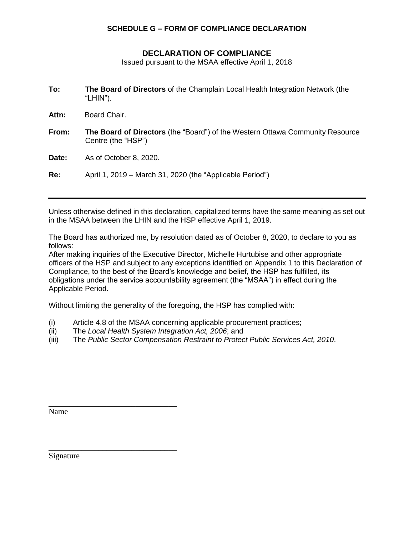## **SCHEDULE G – FORM OF COMPLIANCE DECLARATION**

## **DECLARATION OF COMPLIANCE**

Issued pursuant to the MSAA effective April 1, 2018

| To: | The Board of Directors of the Champlain Local Health Integration Network (the |
|-----|-------------------------------------------------------------------------------|
|     | "LHIN").                                                                      |

**Attn:** Board Chair.

**From: The Board of Directors** (the "Board") of the Western Ottawa Community Resource Centre (the "HSP")

**Date:** As of October 8, 2020.

**Re:** April 1, 2019 – March 31, 2020 (the "Applicable Period")

Unless otherwise defined in this declaration, capitalized terms have the same meaning as set out in the MSAA between the LHIN and the HSP effective April 1, 2019.

The Board has authorized me, by resolution dated as of October 8, 2020, to declare to you as follows:

After making inquiries of the Executive Director, Michelle Hurtubise and other appropriate officers of the HSP and subject to any exceptions identified on Appendix 1 to this Declaration of Compliance, to the best of the Board's knowledge and belief, the HSP has fulfilled, its obligations under the service accountability agreement (the "MSAA") in effect during the Applicable Period.

Without limiting the generality of the foregoing, the HSP has complied with:

- (i) Article 4.8 of the MSAA concerning applicable procurement practices;
- (ii) The *Local Health System Integration Act, 2006*; and

\_\_\_\_\_\_\_\_\_\_\_\_\_\_\_\_\_\_\_\_\_\_\_\_\_\_\_\_\_\_\_

\_\_\_\_\_\_\_\_\_\_\_\_\_\_\_\_\_\_\_\_\_\_\_\_\_\_\_\_\_\_\_

(iii) The *Public Sector Compensation Restraint to Protect Public Services Act, 2010*.

Name

Signature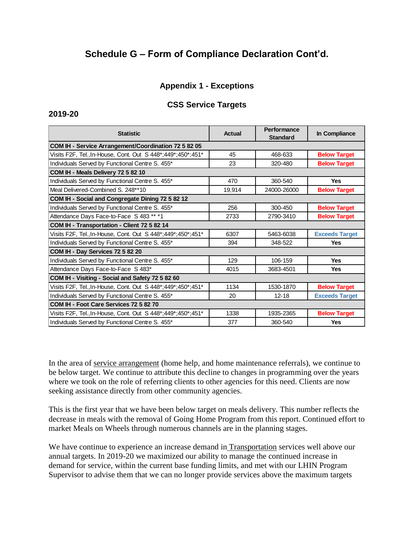# **Schedule G – Form of Compliance Declaration Cont'd.**

## **Appendix 1 - Exceptions**

### **CSS Service Targets**

#### **2019-20**

| <b>Statistic</b>                                               | Actual | <b>Performance</b><br><b>Standard</b> | In Compliance         |  |
|----------------------------------------------------------------|--------|---------------------------------------|-----------------------|--|
| COM IH - Service Arrangement/Coordination 72 5 82 05           |        |                                       |                       |  |
| Visits F2F, Tel., In-House, Cont. Out S 448*;449*;450*;451*    | 45     | 468-633                               | <b>Below Target</b>   |  |
| Individuals Served by Functional Centre S. 455*                | 23     | 320-480                               | <b>Below Target</b>   |  |
| COM IH - Meals Delivery 72 5 82 10                             |        |                                       |                       |  |
| Individuals Served by Functional Centre S. 455*                | 470    | 360-540                               | <b>Yes</b>            |  |
| Meal Delivered-Combined S. 248**10                             | 19,914 | 24000-26000                           | <b>Below Target</b>   |  |
| COM IH - Social and Congregate Dining 72 5 82 12               |        |                                       |                       |  |
| Individuals Served by Functional Centre S. 455*                | 256    | 300-450                               | <b>Below Target</b>   |  |
| Attendance Days Face-to-Face S 483 ** *1                       | 2733   | 2790-3410                             | <b>Below Target</b>   |  |
| COM IH - Transportation - Client 72 5 82 14                    |        |                                       |                       |  |
| Visits F2F, Tel., In-House, Cont. Out S 448*; 449*; 450*; 451* | 6307   | 5463-6038                             | <b>Exceeds Target</b> |  |
| Individuals Served by Functional Centre S. 455*                | 394    | 348-522                               | <b>Yes</b>            |  |
| COM IH - Day Services 72 5 82 20                               |        |                                       |                       |  |
| Individuals Served by Functional Centre S. 455*                | 129    | 106-159                               | <b>Yes</b>            |  |
| Attendance Days Face-to-Face S 483*                            | 4015   | 3683-4501                             | <b>Yes</b>            |  |
| COM IH - Visiting - Social and Safety 72 5 82 60               |        |                                       |                       |  |
| Visits F2F, Tel., In-House, Cont. Out S 448*; 449*; 450*; 451* | 1134   | 1530-1870                             | <b>Below Target</b>   |  |
| Individuals Served by Functional Centre S. 455*                | 20     | $12 - 18$                             | <b>Exceeds Target</b> |  |
| COM IH - Foot Care Services 72 5 82 70                         |        |                                       |                       |  |
| Visits F2F, Tel., In-House, Cont. Out S 448*; 449*; 450*; 451* | 1338   | 1935-2365                             | <b>Below Target</b>   |  |
| Individuals Served by Functional Centre S. 455*                | 377    | 360-540                               | <b>Yes</b>            |  |

In the area of service arrangement (home help, and home maintenance referrals), we continue to be below target. We continue to attribute this decline to changes in programming over the years where we took on the role of referring clients to other agencies for this need. Clients are now seeking assistance directly from other community agencies.

This is the first year that we have been below target on meals delivery. This number reflects the decrease in meals with the removal of Going Home Program from this report. Continued effort to market Meals on Wheels through numerous channels are in the planning stages.

We have continue to experience an increase demand in Transportation services well above our annual targets. In 2019-20 we maximized our ability to manage the continued increase in demand for service, within the current base funding limits, and met with our LHIN Program Supervisor to advise them that we can no longer provide services above the maximum targets